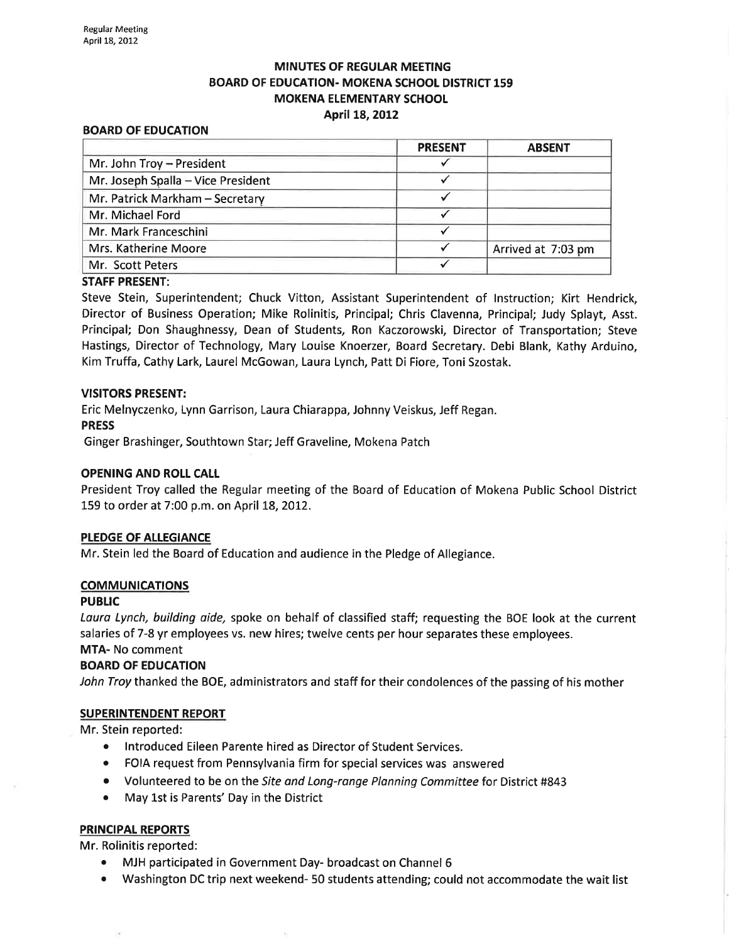## MINUTES OF REGULAR MEETING BOARD OF EDUCATION- MOKENA SCHOOL DISTRICT 159 **MOKENA ELEMENTARY SCHOOL** April 18,2012

#### BOARD OF EDUCATION

|                                    | <b>PRESENT</b> | <b>ABSENT</b>      |
|------------------------------------|----------------|--------------------|
| Mr. John Troy - President          |                |                    |
| Mr. Joseph Spalla - Vice President |                |                    |
| Mr. Patrick Markham - Secretary    |                |                    |
| Mr. Michael Ford                   |                |                    |
| Mr. Mark Franceschini              |                |                    |
| Mrs. Katherine Moore               |                | Arrived at 7:03 pm |
| Mr. Scott Peters                   |                |                    |

#### STAFF PRESENT:

Steve Stein, Superintendent; Chuck Vitton, Assistant Superintendent of lnstruction; Kirt Hendrick, Director of Business Operation; Mike Rolinitis, Principal; Chris Clavenna, Principal; Judy Splayt, Asst. Principal; Don Shaughnessy, Dean of Students, Ron Kaczorowski, Director of Transportation; Steve Hastings, Director of Technology, Mary Louise Knoerzer, Board Secretary. Debi Blank, Kathy Arduino, Kim Truffa, Cathy Lark, Laurel McGowan, Laura Lynch, Patt Di Fiore, Toniszostak.

#### VISITORS PRESENT:

Eric Melnyczenko, Lynn Garrison, Laura Chiarappa, Johnny Veiskus, Jeff Regan. PRESS

Ginger Brashinger, Southtown Star; Jeff Graveline, Mokena Patch

### OPENING AND ROLL CALI

President Troy called the Regular meeting of the Board of Education of Mokena Public School District 159 to order at 7:00 p.m. on April 18, 2012.

#### PLEDGE OF ALLEGIANCE

Mr. Stein led the Board of Education and audience in the Pledge of Allegiance.

#### COMMUNICATIONS

#### PUBLIC

Laura Lynch, building aide, spoke on behalf of classified staff; requesting the BOE look at the current salaries of 7-8 yr employees vs. new hires; twelve cents per hour separates these employees.

# MTA- No comment

#### BOARD OF EDUCATION

John Troy thanked the BOE, administrators and staff for their condolences of the passing of his mother

### SUPERINTENDENT REPORT

Mr. Stein reported:

- o lntroduced Eileen Parente hired as Director of Student Services.
- o FOIA request from Pennsylvania firm for special services was answered
- Volunteered to be on the Site and Long-range Planning Committee for District #843
- . May Lst is Parents' Day in the District

### PRINCIPAL REPORTS

Mr. Rolinitis reported:

- MJH participated in Government Day- broadcast on Channel 6
- Washington DC trip next weekend- 50 students attending; could not accommodate the wait list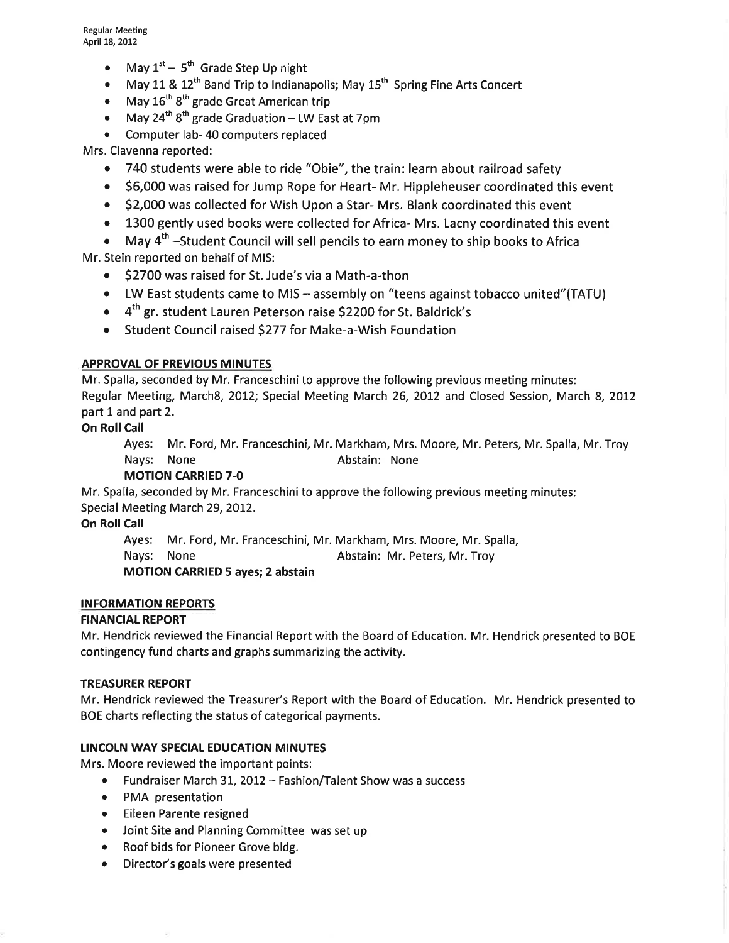- May  $1^{st}$  5<sup>th</sup> Grade Step Up night
- May 11 &  $12<sup>th</sup>$  Band Trip to Indianapolis; May  $15<sup>th</sup>$  Spring Fine Arts Concert
- May  $16^{\text{th}}$  8<sup>th</sup> grade Great American trip
- May 24<sup>th</sup>  $8^{th}$  grade Graduation LW East at 7pm
- Computer lab-40 computers replaced

Mrs. Clavenna reported:

- 740 students were able to ride "Obie", the train: learn about railroad safety
- o \$6,000 was raised forJump Rope for Heart- Mr. Hippleheuser coordinated this event
- o \$2,000 was collected for Wish Upon a Star- Mrs. Blank coordinated this event
- 1300 gently used books were collected for Africa- Mrs. Lacny coordinated this event
- . May 4th -Student Council will sell pencils to earn money to ship books to Africa Mr. Stein reported on behalf of MIS:
	- \$2700 was raised for St. Jude's via a Math-a-thon
	- LW East students came to MIS assembly on "teens against tobacco united"(TATU)
	- $\bullet$  4<sup>th</sup> gr. student Lauren Peterson raise \$2200 for St. Baldrick's
	- Student Council raised \$277 for Make-a-Wish Foundation

## **APPROVAL OF PREVIOUS MINUTES**

Mr. Spalla, seconded by Mr. Franceschini to approve the following previous meeting minutes: Regular Meeting, March8, 2012; Special Meeting March 26, 2012 and Closed Session, March 8, 2012 part 1 and part 2.

## **On Roll Call**

Ayes: Mr. Ford, Mr. Franceschini, Mr. Markham, Mrs. Moore, Mr. Peters, Mr. Spalla, Mr. Troy Nays: None **Abstain:** None

## MOTION CARRIED 7-O

Mr. Spalla, seconded by Mr. Franceschini to approve the following previous meeting minutes: Special Meeting March 29, 2012.

**On Roll Call** 

Ayes: Mr. Ford, Mr. Franceschini, Mr. Markham, Mrs. Moore, Mr. Spalla,

Nays: None **Abstain: Mr. Peters, Mr. Troy** 

MOTION CARRIED 5 ayes; 2 abstain

### ¡NFORMATION REPORTS

### **FINANCIAL REPORT**

Mr. Hendrick reviewed the Financial Report with the Board of Education. Mr. Hendrick presented to BOE contingency fund charts and graphs summarizing the activity.

### TREASURER REPORT

Mr. Hendrick reviewed the Treasurer's Report with the Board of Education. Mr. Hendrick presented to BOE charts reflecting the status of categorical payments.

### LINCOLN WAY SPECIAL EDUCATION MINUTES

Mrs. Moore reviewed the important points:

- Fundraiser March 31, 2012 Fashion/Talent Show was a success
- PMA presentation
- Eileen Parente resigned
- Joint Site and Planning Committee was set up
- Roof bids for Pioneer Grove bldg.
- Director's goals were presented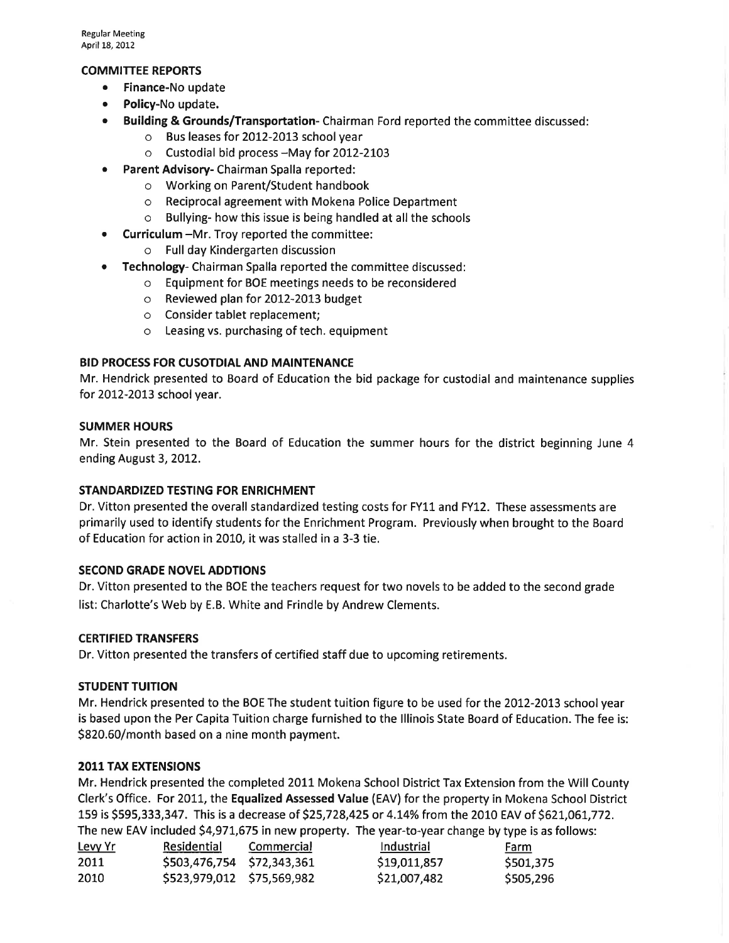### COMMITTEE REPORTS

- Finance-No update
- Policy-No update.
- Building & Grounds/Transportation-Chairman Ford reported the committee discussed:
	- o Bus leases for 2012-2013 school year
	- o Custodial bid process -May for 2OL2-2I03
- **Parent Advisory-** Chairman Spalla reported:
	- o Working on Parent/Student handbook
	- o Reciprocal agreement with Mokena Police Department
	- o Bullying- how this issue is being handled at all the schools
- Curriculum -Mr. Troy reported the committee:
	- o Full day Kindergarten discussion
- **Technology-** Chairman Spalla reported the committee discussed:
	- o Equipment for BOE meetings needs to be reconsidered
	- o Reviewed plan for 2012-2OL3 budget
	- o Consider tablet replacement;
	- o Leasing vs. purchasing of tech. equipment

## BID PROCESS FOR CUSOTDIAL AND MAINTENANCE

Mr. Hendrick presented to Board of Education the bid package for custodial and maintenance supplies for 2012-2013 school year.

### SUMMER HOURS

Mr. Stein presented to the Board of Education the summer hours for the district beginning June 4 ending August 3, 2012.

### STANDARDIZED TESTING FOR ENRICHMENT

Dr. Vitton presented the overall standardized testing costs for FY11 and FY12. These assessments are primarily used to identify students for the Enrichment Program. Previously when brought to the Board of Education for action in 2010, it was stalled in a 3-3 tie.

### SECOND GRADE NOVEL ADDTIONS

Dr. Vitton presented to the BOE the teachers request for two novels to be added to the second grade list: Charlotte's Web by E.B. White and Frindle by Andrew Clements.

### CERTIFIED TRANSFERS

Dr. Vitton presented the transfers of certified staff due to upcoming retirements.

### **STUDENT TUITION**

Mr. Hendrick presented to the BOE The student tuition figure to be used for the 2012-2013 school year is based upon the Per Capita Tuition charge furnished to the lllinois State Board of Education. The fee is: 5820.60/month based on a nine month payment.

### 2011TAX EXTENSIONS

Mr. Hendrick presented the completed 2011 Mokena School District Tax Extension from the Will County Clerk's Office. For 2OII, the Equalized Assessed Value (EAV) for the property in Mokena School District 159 is \$595,333,347. This is a decrease of \$25,728,425 or 4.14% from the 2010 EAV of \$621,061,772. The new EAV included 54,971,675 in new property. The year-to-year change by type is as follows:

| <u>Levy Yr</u> | Residential                | Commercial | Industrial   | Farm      |
|----------------|----------------------------|------------|--------------|-----------|
| 2011           | \$503,476,754 \$72,343,361 |            | \$19,011,857 | \$501,375 |
| 2010           | \$523,979,012 \$75,569,982 |            | \$21,007,482 | \$505,296 |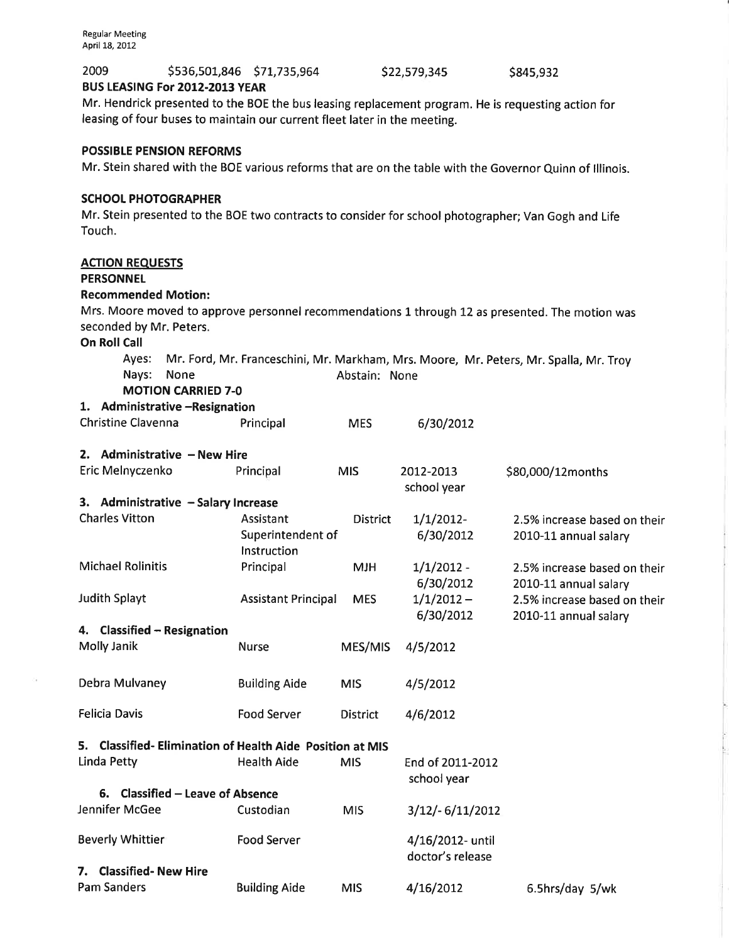7. Classified- New Hire

 $\alpha$ 

| 2009<br>BUS LEASING For 2012-2013 YEAR                                                                                                                                          | \$536,501,846 \$71,735,964                                                                          |                 | \$22,579,345                    | \$845,932                                                                                                |
|---------------------------------------------------------------------------------------------------------------------------------------------------------------------------------|-----------------------------------------------------------------------------------------------------|-----------------|---------------------------------|----------------------------------------------------------------------------------------------------------|
| Mr. Hendrick presented to the BOE the bus leasing replacement program. He is requesting action for<br>leasing of four buses to maintain our current fleet later in the meeting. |                                                                                                     |                 |                                 |                                                                                                          |
| <b>POSSIBLE PENSION REFORMS</b>                                                                                                                                                 |                                                                                                     |                 |                                 | Mr. Stein shared with the BOE various reforms that are on the table with the Governor Quinn of Illinois. |
| <b>SCHOOL PHOTOGRAPHER</b><br>Touch.                                                                                                                                            | Mr. Stein presented to the BOE two contracts to consider for school photographer; Van Gogh and Life |                 |                                 |                                                                                                          |
| <b>ACTION REQUESTS</b><br><b>PERSONNEL</b>                                                                                                                                      |                                                                                                     |                 |                                 |                                                                                                          |
| <b>Recommended Motion:</b><br>seconded by Mr. Peters.                                                                                                                           |                                                                                                     |                 |                                 | Mrs. Moore moved to approve personnel recommendations 1 through 12 as presented. The motion was          |
| <b>On Roll Call</b>                                                                                                                                                             |                                                                                                     |                 |                                 |                                                                                                          |
| Ayes:<br>Nays:<br>None                                                                                                                                                          |                                                                                                     | Abstain: None   |                                 | Mr. Ford, Mr. Franceschini, Mr. Markham, Mrs. Moore, Mr. Peters, Mr. Spalla, Mr. Troy                    |
| <b>MOTION CARRIED 7-0</b><br>1. Administrative -Resignation                                                                                                                     |                                                                                                     |                 |                                 |                                                                                                          |
| <b>Christine Clavenna</b>                                                                                                                                                       | Principal                                                                                           | <b>MES</b>      | 6/30/2012                       |                                                                                                          |
| 2. Administrative - New Hire                                                                                                                                                    |                                                                                                     |                 |                                 |                                                                                                          |
| Eric Melnyczenko                                                                                                                                                                | Principal                                                                                           | <b>MIS</b>      | 2012-2013<br>school year        | \$80,000/12months                                                                                        |
| 3. Administrative - Salary Increase                                                                                                                                             |                                                                                                     |                 |                                 |                                                                                                          |
| <b>Charles Vitton</b>                                                                                                                                                           | Assistant<br>Superintendent of<br>Instruction                                                       | <b>District</b> | $1/1/2012$ -<br>6/30/2012       | 2.5% increase based on their<br>2010-11 annual salary                                                    |
| <b>Michael Rolinitis</b>                                                                                                                                                        | Principal                                                                                           | <b>MJH</b>      | $1/1/2012 -$<br>6/30/2012       | 2.5% increase based on their<br>2010-11 annual salary                                                    |
| <b>Judith Splayt</b>                                                                                                                                                            | <b>Assistant Principal</b>                                                                          | <b>MES</b>      | $1/1/2012 -$<br>6/30/2012       | 2.5% increase based on their<br>2010-11 annual salary                                                    |
| 4. Classified - Resignation                                                                                                                                                     |                                                                                                     |                 |                                 |                                                                                                          |
| Molly Janik                                                                                                                                                                     | <b>Nurse</b>                                                                                        | MES/MIS         | 4/5/2012                        |                                                                                                          |
| Debra Mulvaney                                                                                                                                                                  | <b>Building Aide</b>                                                                                | <b>MIS</b>      | 4/5/2012                        |                                                                                                          |
| <b>Felicia Davis</b>                                                                                                                                                            | <b>Food Server</b>                                                                                  | <b>District</b> | 4/6/2012                        |                                                                                                          |
| <b>Classified-Elimination of Health Aide Position at MIS</b><br>5.                                                                                                              |                                                                                                     |                 |                                 |                                                                                                          |
| Linda Petty                                                                                                                                                                     | <b>Health Aide</b>                                                                                  | <b>MIS</b>      | End of 2011-2012<br>school year |                                                                                                          |
| 6. Classified – Leave of Absence                                                                                                                                                |                                                                                                     |                 |                                 |                                                                                                          |
| Jennifer McGee                                                                                                                                                                  | Custodian                                                                                           | <b>MIS</b>      | $3/12/- 6/11/2012$              |                                                                                                          |
| <b>Beverly Whittier</b>                                                                                                                                                         | Food Server                                                                                         |                 | 4/16/2012- until                |                                                                                                          |

doctor's release

4/L6/2072

Pam Sanders **Building Aide** MIS 4/16/2012 6.5hrs/day 5/wk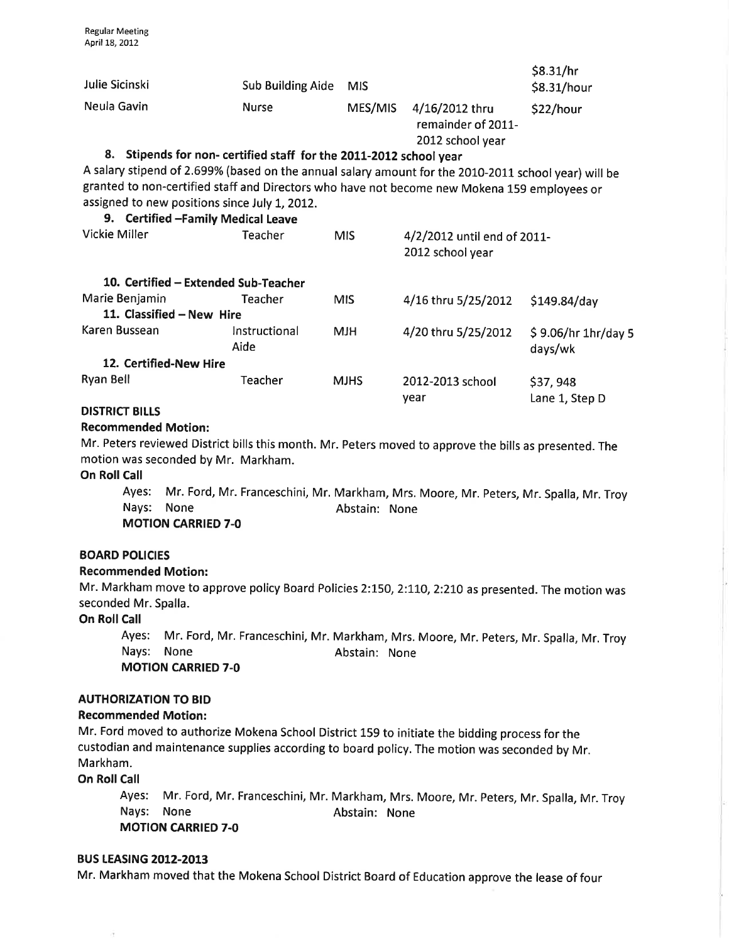| Julie Sicinski                                                                       | <b>Sub Building Aide</b>                                                                                                                                                                                                                                                   | <b>MIS</b>  |                                                          | \$8.31/hr<br>\$8.31/hour       |  |
|--------------------------------------------------------------------------------------|----------------------------------------------------------------------------------------------------------------------------------------------------------------------------------------------------------------------------------------------------------------------------|-------------|----------------------------------------------------------|--------------------------------|--|
| Neula Gavin                                                                          | <b>Nurse</b>                                                                                                                                                                                                                                                               | MES/MIS     | 4/16/2012 thru<br>remainder of 2011-<br>2012 school year | \$22/hour                      |  |
| assigned to new positions since July 1, 2012.<br>9. Certified - Family Medical Leave | 8. Stipends for non- certified staff for the 2011-2012 school year<br>A salary stipend of 2.699% (based on the annual salary amount for the 2010-2011 school year) will be<br>granted to non-certified staff and Directors who have not become new Mokena 159 employees or |             |                                                          |                                |  |
| Vickie Miller                                                                        | Teacher                                                                                                                                                                                                                                                                    | MIS.        | 4/2/2012 until end of 2011-<br>2012 school year          |                                |  |
|                                                                                      | 10. Certified - Extended Sub-Teacher                                                                                                                                                                                                                                       |             |                                                          |                                |  |
| Marie Benjamin                                                                       | Teacher                                                                                                                                                                                                                                                                    | <b>MIS</b>  | 4/16 thru 5/25/2012                                      | $$149.84$ /day                 |  |
| 11. Classified - New Hire                                                            |                                                                                                                                                                                                                                                                            |             |                                                          |                                |  |
| Karen Bussean                                                                        | Instructional<br>Aide                                                                                                                                                                                                                                                      | <b>MJH</b>  | 4/20 thru 5/25/2012                                      | \$9.06/hr 1hr/day 5<br>days/wk |  |
| 12. Certified-New Hire                                                               |                                                                                                                                                                                                                                                                            |             |                                                          |                                |  |
| Ryan Bell                                                                            | Teacher                                                                                                                                                                                                                                                                    | <b>MJHS</b> | 2012-2013 school<br>year                                 | \$37,948<br>Lane 1, Step D     |  |
| <b>DISTRICT BILLS</b>                                                                |                                                                                                                                                                                                                                                                            |             |                                                          |                                |  |

### Recommended Motion:

Mr. Peters reviewed District bills this month. Mr. Peters moved to approve the bills as presented. The motion was seconded by Mr. Markham.

**On Roll Call** 

Ayes: Mr. Ford, Mr. Franceschini, Mr. Markham, Mrs. Moore, Mr. Peters, Mr. Spalla, Mr. Troy Nays: None **Abstain:** None

MOTION CARRIED 7-O

#### **BOARD POLICIES**

#### Recommended Motion:

Mr. Markham move to approve policy Board Policies 2:150, 2:110, 2:210 as presented. The motion was seconded Mr. Spalla.

#### On Roll Call

Ayes: Mr. Ford, Mr. Franceschini, Mr. Markham, Mrs. Moore, Mr. Peters, Mr. Spalla, Mr. Troy Nays: None **Abstain:** None MOTION CARRIED 7-O

### AUTHORIZATION TO BID

#### Recommended Motion:

Mr. Ford moved to authorize Mokena School District 159 to initiate the bidding process for the custodian and maintenance supplies according to board policy. The motion was seconded by Mr. Markham.

**On Roll Call** 

ë

Ayes: Mr. Ford, Mr. Franceschini, Mr. Markham, Mrs. Moore, Mr. Peters, Mr. Spalla, Mr. Troy Nays: None **Abstain:** None MOTION CARRIED 7.0

#### **BUS LEASING 2012-2013**

Mr. Markham moved that the Mokena School District Board of Education approve the lease of four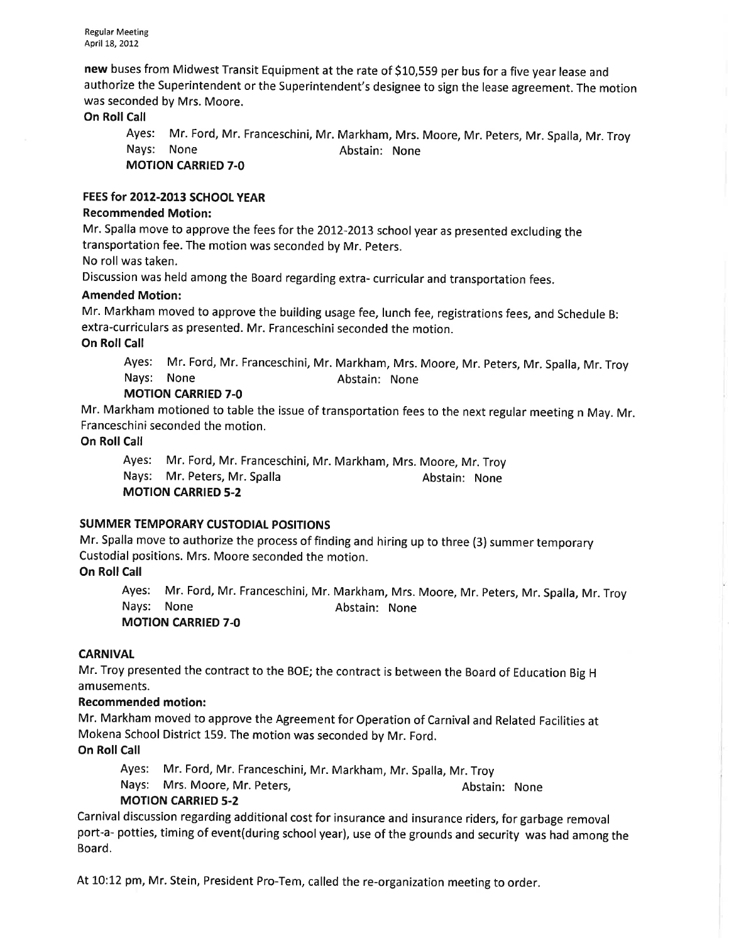new buses from Midwest Transit Equipment at the rate of 510,559 per bus for a five year lease and authorize the Superintendent or the Superintendent's designee to sign the lease agreement. The motion was seconded by Mrs. Moore.

## **On Roll Call**

Ayes: Mr. Ford, Mr. Franceschini, Mr. Markham, Mrs. Moore, Mr. Peters, Mr. Spalla, Mr. Troy Nays: None **Abstain:** None

MOTION CARRIED 7-O

### FEES for 2012-2013 SCHOOL YEAR

### Recommended Motion:

Mr. Spalla move to approve the fees for the 2012-2073 school year as presented excluding the transportation fee. The motion was seconded by Mr. peters.

No roll was taken.

Discussion was held among the Board regarding extra- curricular and transportation fees.

#### Amended Motion:

Mr. Markham moved to approve the building usage fee, lunch fee, registrations fees, and Schedule B: extra-curriculars as presented. Mr. Franceschini seconded the motion.

On Roll Call

Ayes: Mr. Ford, Mr. Franceschini, Mr. Markham, Mrs. Moore, Mr. Peters, Mr. Spalla, Mr. Troy Nays: None **Abstain:** None

## MOTION CARRIED 7-O

Mr. Markham motioned to table the issue of transportation fees to the next regular meeting n May. Mr. Franceschini seconded the motion.

On Roll Call

Ayes: Mr. Ford, Mr. Franceschini, Mr. Markham, Mrs. Moore, Mr. Troy Nays: Mr. Peters, Mr. Spalla Abstain: None MOTION CARRIED 5-2

## SUMMER TEMPORARY CUSTODIAL POSITIONS

Mr. Spalla move to authorize the process of finding and hiring up to three (3) summer temporary Custodial positions. Mrs. Moore seconded the motion.

## On Roll Call

Ayes: Mr. Ford, Mr. Franceschini, Mr. Markham, Mrs. Moore, Mr. Peters, Mr. Spalla, Mr. Troy Nays: None **Abstain:** None MOTION CARRIED 7.0

### **CARNIVAL**

Mr. Troy presented the contract to the BOE; the contract is between the Board of Education Big <sup>H</sup> amusements.

### Recommended motion:

Mr. Markham moved to approve the Agreement for Operation of Carnival and Related Facilities at Mokena School District 159. The motion was seconded by Mr. Ford.

**On Roll Call** 

Ayes: Mr. Ford, Mr. Franceschini, Mr. Markham, Mr. Spalla, Mr. Troy Nays: Mrs. Moore, Mr. Peters, Abstain: None

## MOTION CARRIED 5.2

Carnival discussion regarding additional cost for insurance and insurance riders, for garbage removal port-a- potties, timing of event(during school year), use of the grounds and security was had among the Board.

At 10:12 pm, Mr. Stein, President Pro-Tem, called the re-organization meeting to order.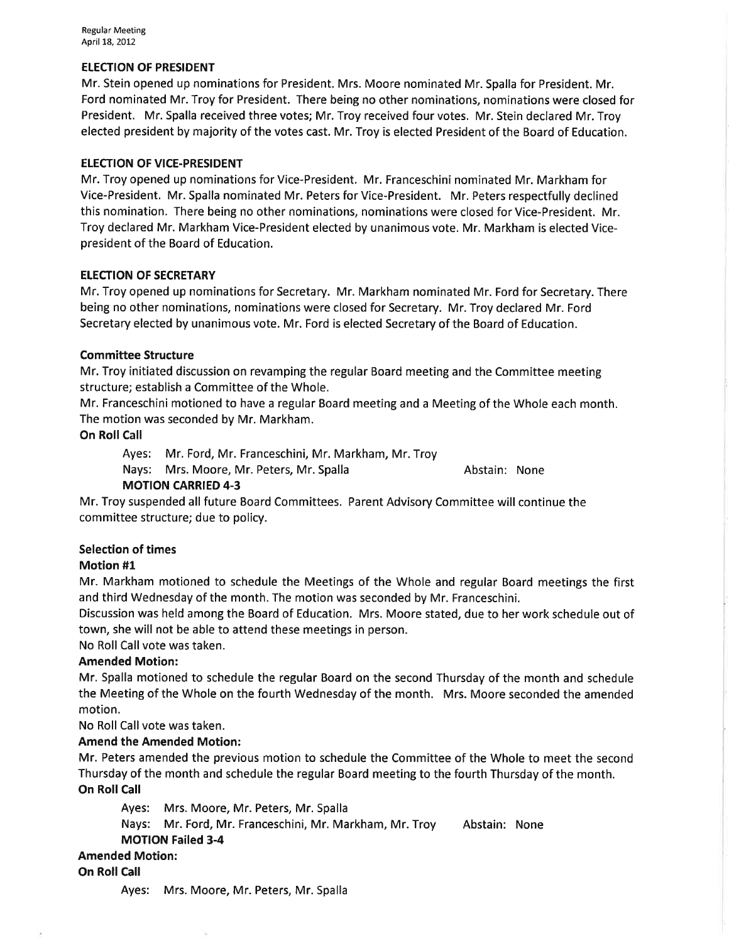Regular Meeting April 18, 2012

#### **ELECTION OF PRESIDENT**

Mr. Stein opened up nominations for President. Mrs. Moore nominated Mr. Spalla for President. Mr. Ford nominated Mr. Troy for President. There being no other nominations, nominations were closed for President. Mr. Spalla received three votes; Mr. Troy received four votes. Mr. Stein declared Mr. Troy elected president by majority of the votes cast. Mr. Troy is elected President of the Board of Education.

#### ELECTION OF VICE-PRESIDENT

Mr. Troy opened up nominations for Vice-President. Mr. Franceschini nominated Mr. Markham for Vice-President. Mr. Spalla nominated Mr. Peters for Vice-President. Mr. Peters respectfully declined this nomination. There being no other nominations, nominations were closed for Vice-President. Mr. Troy declared Mr. Markham Vice-President elected by unanimous vote. Mr. Markham is elected Vicepresident of the Board of Education.

#### **ELECTION OF SECRETARY**

Mr. Troy opened up nominations for Secretary. Mr. Markham nominated Mr. Ford for Secretary. There being no other nominations, nominations were closed for Secretary. Mr. Troy declared Mr. Ford Secretary elected by unanimous vote. Mr. Ford is elected Secretary of the Board of Education.

#### Committee Structure

Mr. Troy initiated discussion on revamping the regular Board meeting and the Committee meeting structure; establish a Committee of the Whole.

Mr. Franceschini motioned to have a regular Board meeting and a Meeting of the Whole each month. The motion was seconded by Mr. Markham.

On Roll Call

Ayes: Mr. Ford, Mr. Franceschini, Mr. Markham, Mr. Troy

Nays: Mrs. Moore, Mr. Peters, Mr. Spalla Abstain: None

## MOTION CARRIED 4-3

Mr. Troy suspended all future Board Committees. Parent Advisory Committee will continue the committee structure; due to policy.

#### Selection of times

#### Motion #1

Mr. Markham motioned to schedule the Meetings of the Whole and regular Board meetings the first and third Wednesday of the month. The motion was seconded by Mr. Franceschini.

Discussion was held among the Board of Education. Mrs. Moore stated, due to her work schedule out of town, she will not be able to attend these meetings in person.

No Roll Call vote was taken.

#### Amended Motion:

Mr. Spalla motioned to schedule the regular Board on the second Thursday of the month and schedule the Meeting of the Whole on the fourth Wednesday of the month. Mrs. Moore seconded the amended motion.

No Roll Call vote was taken.

## Amend the Amended Motion:

Mr. Peters amended the previous motion to schedule the Committee of the Whole to meet the second Thursday of the month and schedule the regular Board meeting to the fourth Thursday of the month. On Roll Call

Ayes: Mrs. Moore, Mr. Peters, Mr. Spalla Nays: Mr. Ford, Mr. Franceschini, Mr. Markham, Mr. Troy Abstain: None MOTION Failed 3-4 Amended Motion:

**On Roll Call** 

Ayes: Mrs. Moore, Mr. Peters, Mr. Spalla